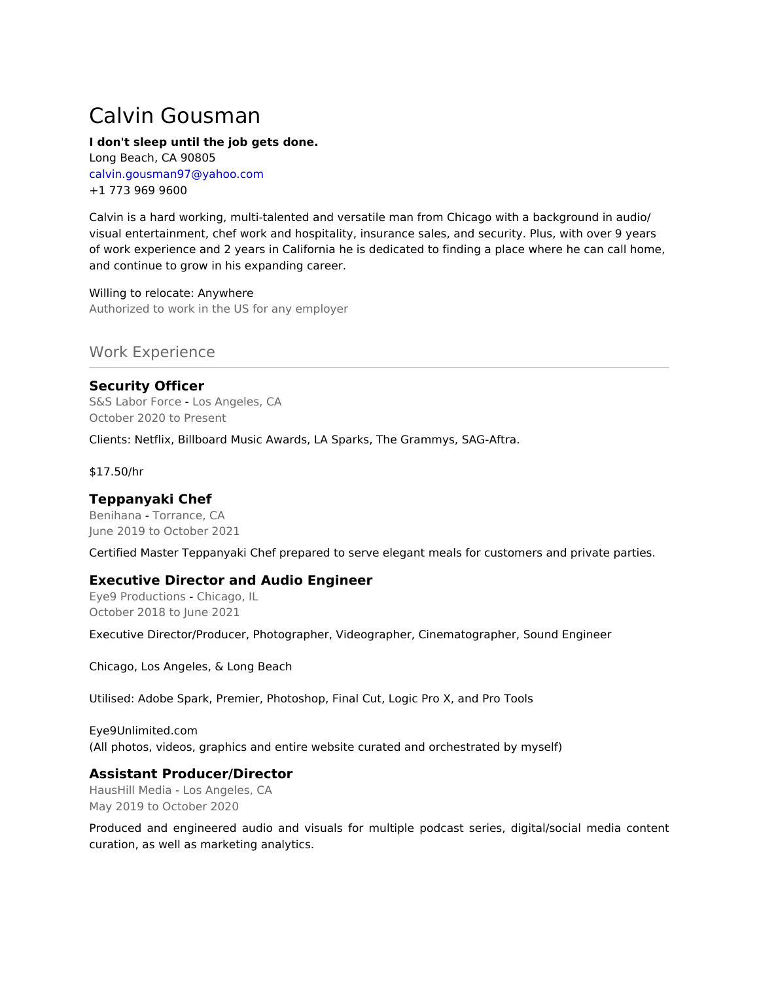# Calvin Gousman

#### **I don't sleep until the job gets done.**

Long Beach, CA 90805 calvin.gousman97@yahoo.com +1 773 969 9600

Calvin is a hard working, multi-talented and versatile man from Chicago with a background in audio/ visual entertainment, chef work and hospitality, insurance sales, and security. Plus, with over 9 years of work experience and 2 years in California he is dedicated to finding a place where he can call home, and continue to grow in his expanding career.

Willing to relocate: Anywhere Authorized to work in the US for any employer

# Work Experience

# **Security Officer**

S&S Labor Force - Los Angeles, CA October 2020 to Present

Clients: Netflix, Billboard Music Awards, LA Sparks, The Grammys, SAG-Aftra.

\$17.50/hr

## **Teppanyaki Chef**

Benihana - Torrance, CA June 2019 to October 2021

Certified Master Teppanyaki Chef prepared to serve elegant meals for customers and private parties.

#### **Executive Director and Audio Engineer**

Eye9 Productions - Chicago, IL October 2018 to June 2021

Executive Director/Producer, Photographer, Videographer, Cinematographer, Sound Engineer

Chicago, Los Angeles, & Long Beach

Utilised: Adobe Spark, Premier, Photoshop, Final Cut, Logic Pro X, and Pro Tools

Eye9Unlimited.com (All photos, videos, graphics and entire website curated and orchestrated by myself)

## **Assistant Producer/Director**

HausHill Media - Los Angeles, CA May 2019 to October 2020

Produced and engineered audio and visuals for multiple podcast series, digital/social media content curation, as well as marketing analytics.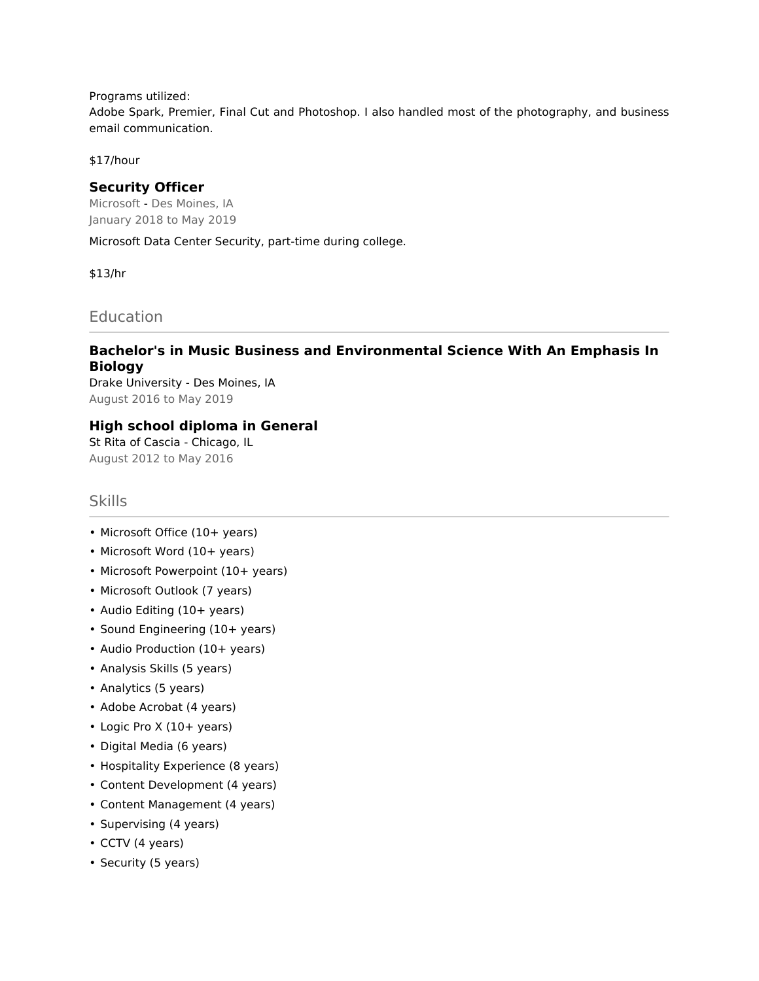Programs utilized:

Adobe Spark, Premier, Final Cut and Photoshop. I also handled most of the photography, and business email communication.

\$17/hour

#### **Security Officer**

Microsoft - Des Moines, IA January 2018 to May 2019

Microsoft Data Center Security, part-time during college.

\$13/hr

**Education** 

# **Bachelor's in Music Business and Environmental Science With An Emphasis In Biology**

Drake University - Des Moines, IA August 2016 to May 2019

## **High school diploma in General**

St Rita of Cascia - Chicago, IL August 2012 to May 2016

## Skills

- Microsoft Office (10+ years)
- Microsoft Word (10+ years)
- Microsoft Powerpoint (10+ years)
- Microsoft Outlook (7 years)
- Audio Editing (10+ years)
- Sound Engineering (10+ years)
- Audio Production (10+ years)
- Analysis Skills (5 years)
- Analytics (5 years)
- Adobe Acrobat (4 years)
- Logic Pro X (10+ years)
- Digital Media (6 years)
- Hospitality Experience (8 years)
- Content Development (4 years)
- Content Management (4 years)
- Supervising (4 years)
- CCTV (4 years)
- Security (5 years)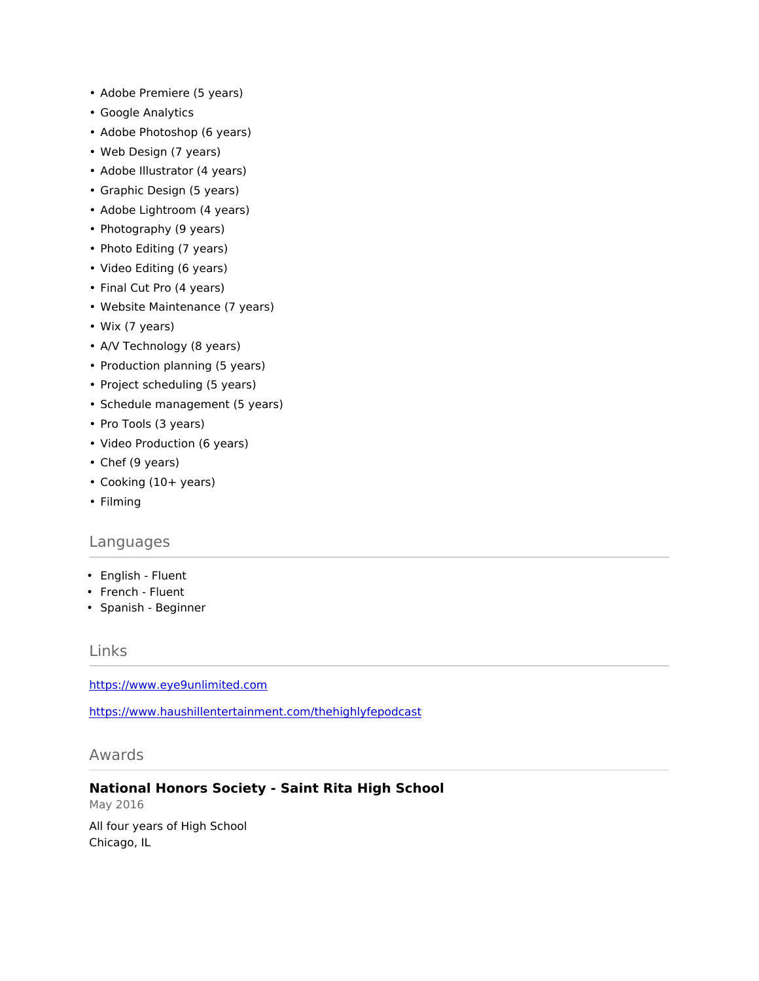- Adobe Premiere (5 years)
- Google Analytics
- Adobe Photoshop (6 years)
- Web Design (7 years)
- Adobe Illustrator (4 years)
- Graphic Design (5 years)
- Adobe Lightroom (4 years)
- Photography (9 years)
- Photo Editing (7 years)
- Video Editing (6 years)
- Final Cut Pro (4 years)
- Website Maintenance (7 years)
- Wix (7 years)
- A/V Technology (8 years)
- Production planning (5 years)
- Project scheduling (5 years)
- Schedule management (5 years)
- Pro Tools (3 years)
- Video Production (6 years)
- Chef (9 years)
- Cooking (10+ years)
- Filming

#### Languages

- English Fluent
- French Fluent
- Spanish Beginner

#### Links

<https://www.eye9unlimited.com>

<https://www.haushillentertainment.com/thehighlyfepodcast>

Awards

#### **National Honors Society - Saint Rita High School**

May 2016

All four years of High School Chicago, IL